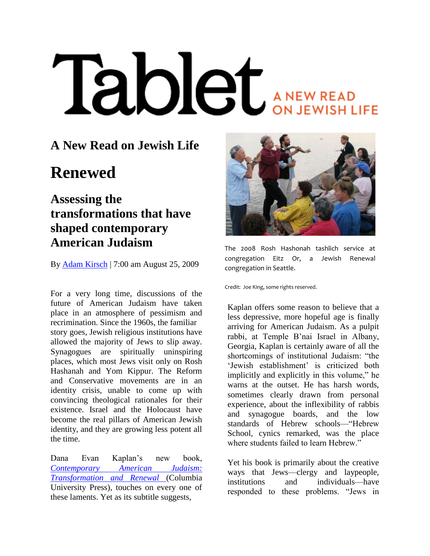# **Iablet** ANEW READ

## **A New Read on Jewish Life**

# **Renewed**

### **Assessing the transformations that have shaped contemporary American Judaism**

By [Adam Kirsch](http://www.tabletmag.com/author/akirsch/) | 7:00 am August 25, 2009

For a very long time, discussions of the future of American Judaism have taken place in an atmosphere of pessimism and recrimination. Since the 1960s, the familiar story goes, Jewish religious institutions have allowed the majority of Jews to slip away. Synagogues are spiritually uninspiring places, which most Jews visit only on Rosh Hashanah and Yom Kippur. The Reform and Conservative movements are in an identity crisis, unable to come up with convincing theological rationales for their existence. Israel and the Holocaust have become the real pillars of American Jewish identity, and they are growing less potent all the time.

Dana Evan Kaplan"s new book, *[Contemporary American Judaism:](http://www.amazon.com/Contemporary-American-Judaism-Transformation-Renewal/dp/0231137281)  [Transformation and Renewal](http://www.amazon.com/Contemporary-American-Judaism-Transformation-Renewal/dp/0231137281)* (Columbia University Press), touches on every one of these laments. Yet as its subtitle suggests,



The 2008 Rosh Hashonah tashlich service at congregation Eitz Or, a Jewish Renewal congregation in Seattle.

Credit: Joe King, some rights reserved.

Kaplan offers some reason to believe that a less depressive, more hopeful age is finally arriving for American Judaism. As a pulpit rabbi, at Temple B"nai Israel in Albany, Georgia, Kaplan is certainly aware of all the shortcomings of institutional Judaism: "the 'Jewish establishment' is criticized both implicitly and explicitly in this volume," he warns at the outset. He has harsh words, sometimes clearly drawn from personal experience, about the inflexibility of rabbis and synagogue boards, and the low standards of Hebrew schools—"Hebrew School, cynics remarked, was the place where students failed to learn Hebrew."

Yet his book is primarily about the creative ways that Jews—clergy and laypeople, institutions and individuals—have responded to these problems. "Jews in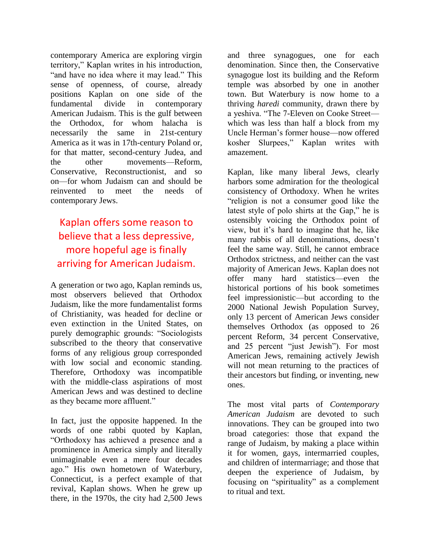contemporary America are exploring virgin territory," Kaplan writes in his introduction, "and have no idea where it may lead." This sense of openness, of course, already positions Kaplan on one side of the fundamental divide in contemporary American Judaism. This is the gulf between the Orthodox, for whom halacha is necessarily the same in 21st-century America as it was in 17th-century Poland or, for that matter, second-century Judea, and the other movements—Reform, Conservative, Reconstructionist, and so on—for whom Judaism can and should be reinvented to meet the needs of contemporary Jews.

#### Kaplan offers some reason to believe that a less depressive, more hopeful age is finally arriving for American Judaism.

A generation or two ago, Kaplan reminds us, most observers believed that Orthodox Judaism, like the more fundamentalist forms of Christianity, was headed for decline or even extinction in the United States, on purely demographic grounds: "Sociologists subscribed to the theory that conservative forms of any religious group corresponded with low social and economic standing. Therefore, Orthodoxy was incompatible with the middle-class aspirations of most American Jews and was destined to decline as they became more affluent."

In fact, just the opposite happened. In the words of one rabbi quoted by Kaplan, "Orthodoxy has achieved a presence and a prominence in America simply and literally unimaginable even a mere four decades ago." His own hometown of Waterbury, Connecticut, is a perfect example of that revival, Kaplan shows. When he grew up there, in the 1970s, the city had 2,500 Jews

and three synagogues, one for each denomination. Since then, the Conservative synagogue lost its building and the Reform temple was absorbed by one in another town. But Waterbury is now home to a thriving *haredi* community, drawn there by a yeshiva. "The 7-Eleven on Cooke Street which was less than half a block from my Uncle Herman"s former house—now offered kosher Slurpees," Kaplan writes with amazement.

Kaplan, like many liberal Jews, clearly harbors some admiration for the theological consistency of Orthodoxy. When he writes "religion is not a consumer good like the latest style of polo shirts at the Gap," he is ostensibly voicing the Orthodox point of view, but it"s hard to imagine that he, like many rabbis of all denominations, doesn"t feel the same way. Still, he cannot embrace Orthodox strictness, and neither can the vast majority of American Jews. Kaplan does not offer many hard statistics—even the historical portions of his book sometimes feel impressionistic—but according to the 2000 National Jewish Population Survey, only 13 percent of American Jews consider themselves Orthodox (as opposed to 26 percent Reform, 34 percent Conservative, and 25 percent "just Jewish"). For most American Jews, remaining actively Jewish will not mean returning to the practices of their ancestors but finding, or inventing, new ones.

The most vital parts of *Contemporary American Judaism* are devoted to such innovations. They can be grouped into two broad categories: those that expand the range of Judaism, by making a place within it for women, gays, intermarried couples, and children of intermarriage; and those that deepen the experience of Judaism, by focusing on "spirituality" as a complement to ritual and text.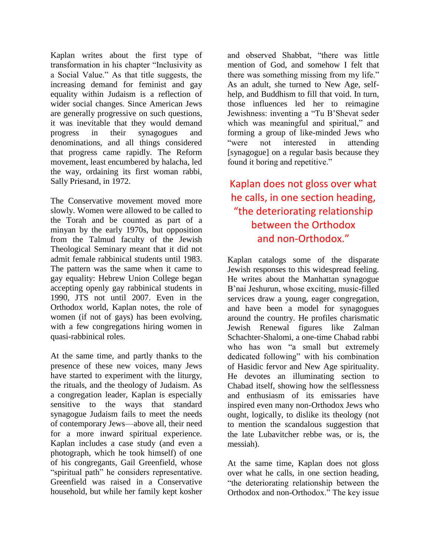Kaplan writes about the first type of transformation in his chapter "Inclusivity as a Social Value." As that title suggests, the increasing demand for feminist and gay equality within Judaism is a reflection of wider social changes. Since American Jews are generally progressive on such questions, it was inevitable that they would demand progress in their synagogues and denominations, and all things considered that progress came rapidly. The Reform movement, least encumbered by halacha, led the way, ordaining its first woman rabbi, Sally Priesand, in 1972.

The Conservative movement moved more slowly. Women were allowed to be called to the Torah and be counted as part of a minyan by the early 1970s, but opposition from the Talmud faculty of the Jewish Theological Seminary meant that it did not admit female rabbinical students until 1983. The pattern was the same when it came to gay equality: Hebrew Union College began accepting openly gay rabbinical students in 1990, JTS not until 2007. Even in the Orthodox world, Kaplan notes, the role of women (if not of gays) has been evolving, with a few congregations hiring women in quasi-rabbinical roles.

At the same time, and partly thanks to the presence of these new voices, many Jews have started to experiment with the liturgy, the rituals, and the theology of Judaism. As a congregation leader, Kaplan is especially sensitive to the ways that standard synagogue Judaism fails to meet the needs of contemporary Jews—above all, their need for a more inward spiritual experience. Kaplan includes a case study (and even a photograph, which he took himself) of one of his congregants, Gail Greenfield, whose "spiritual path" he considers representative. Greenfield was raised in a Conservative household, but while her family kept kosher

and observed Shabbat, "there was little mention of God, and somehow I felt that there was something missing from my life." As an adult, she turned to New Age, selfhelp, and Buddhism to fill that void. In turn, those influences led her to reimagine Jewishness: inventing a "Tu B"Shevat seder which was meaningful and spiritual," and forming a group of like-minded Jews who "were not interested in attending [synagogue] on a regular basis because they found it boring and repetitive."

#### Kaplan does not gloss over what he calls, in one section heading, "the deteriorating relationship between the Orthodox and non-Orthodox."

Kaplan catalogs some of the disparate Jewish responses to this widespread feeling. He writes about the Manhattan synagogue B"nai Jeshurun, whose exciting, music-filled services draw a young, eager congregation, and have been a model for synagogues around the country. He profiles charismatic Jewish Renewal figures like Zalman Schachter-Shalomi, a one-time Chabad rabbi who has won "a small but extremely dedicated following" with his combination of Hasidic fervor and New Age spirituality. He devotes an illuminating section to Chabad itself, showing how the selflessness and enthusiasm of its emissaries have inspired even many non-Orthodox Jews who ought, logically, to dislike its theology (not to mention the scandalous suggestion that the late Lubavitcher rebbe was, or is, the messiah).

At the same time, Kaplan does not gloss over what he calls, in one section heading, "the deteriorating relationship between the Orthodox and non-Orthodox." The key issue